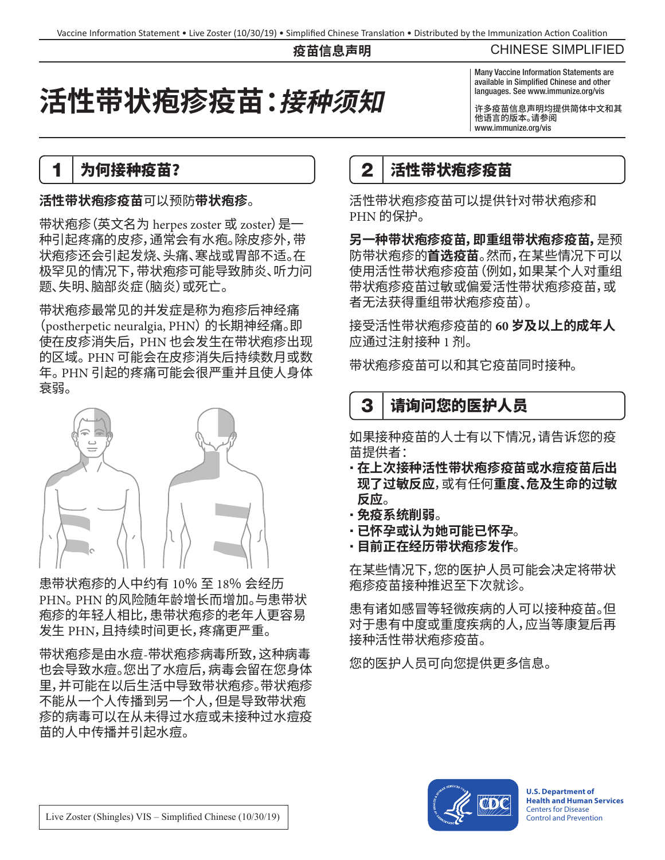#### **疫苗信息声明**

#### CHINESE SIMPLIFIED

# **活性带状疱疹疫苗:接种须知**

#### Many Vaccine Information Statements are available in Simplified Chinese and other languages. See www.immunize.org/vis

许多疫苗信息声明均提供简体中文和其 他语言的版本。请参阅 [www.immunize.org/vis](http://www.immunize.org/vis)

#### 1 为何接种疫苗?

#### **活性带状疱疹疫苗**可以预防**带状疱疹**。

带状疱疹(英文名为 herpes zoster 或 zoster)是一 种引起疼痛的皮疹,通常会有水疱。除皮疹外,带 状疱疹还会引起发烧、头痛、寒战或胃部不适。在 极罕见的情况下,带状疱疹可能导致肺炎、听力问 题、失明、脑部炎症(脑炎)或死亡。

带状疱疹最常见的并发症是称为疱疹后神经痛 (postherpetic neuralgia, PHN) 的长期神经痛。即 使在皮疹消失后, PHN 也会发生在带状疱疹出现 的区域。 PHN 可能会在皮疹消失后持续数月或数 年。 PHN 引起的疼痛可能会很严重并且使人身体 衰弱。



患带状疱疹的人中约有 10% 至 18% 会经历 PHN。 PHN 的风险随年龄增长而增加。与患带状 疱疹的年轻人相比,患带状疱疹的老年人更容易 发生 PHN,且持续时间更长,疼痛更严重。

带状疱疹是由水痘-带状疱疹病毒所致,这种病毒 也会导致水痘。您出了水痘后,病毒会留在您身体 里,并可能在以后生活中导致带状疱疹。带状疱疹 不能从一个人传播到另一个人,但是导致带状疱 疹的病毒可以在从未得过水痘或未接种过水痘疫 苗的人中传播并引起水痘。

### 2 者性带状疱疹疫苗

活性带状疱疹疫苗可以提供针对带状疱疹和 PHN 的保护。

**另一种带状疱疹疫苗,即重组带状疱疹疫苗,**是预 防带状疱疹的**首选疫苗**。然而,在某些情况下可以 使用活性带状疱疹疫苗(例如,如果某个人对重组 带状疱疹疫苗过敏或偏爱活性带状疱疹疫苗,或 者无法获得重组带状疱疹疫苗)。

接受活性带状疱疹疫苗的 **60 岁及以上的成年人** 应通过注射接种 1 剂。

带状疱疹疫苗可以和其它疫苗同时接种。

# 3 | 请询问您的医护人员

如果接种疫苗的人士有以下情况,请告诉您的疫 苗提供者:

- **在上次接种活性带状疱疹疫苗或水痘疫苗后出 现了过敏反应**,或有任何**重度、危及生命的过敏 反应**。
- **免疫系统削弱**。
- **已怀孕或认为她可能已怀孕**。
- **目前正在经历带状疱疹发作**。

在某些情况下,您的医护人员可能会决定将带状 疱疹疫苗接种推迟至下次就诊。

患有诸如感冒等轻微疾病的人可以接种疫苗。但 对于患有中度或重度疾病的人,应当等康复后再 接种活性带状疱疹疫苗。

您的医护人员可向您提供更多信息。



**U.S. Department of Health and Human Services**  Centers for Disease Control and Prevention